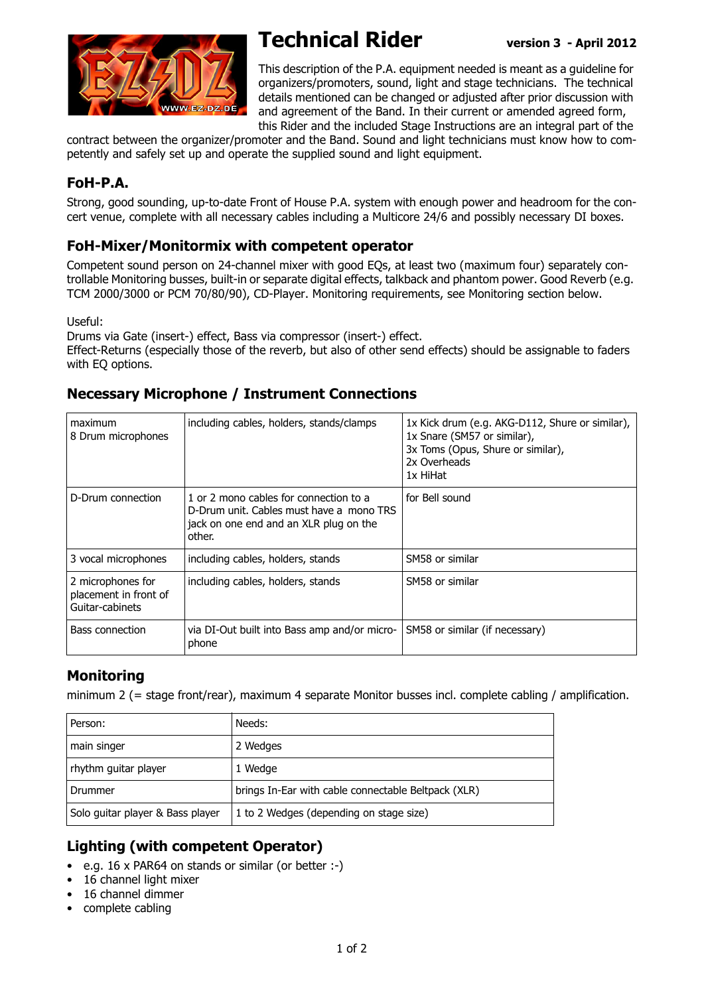

# **Technical Rider version 3 - April 2012**

This description of the P.A. equipment needed is meant as a guideline for organizers/promoters, sound, light and stage technicians. The technical details mentioned can be changed or adjusted after prior discussion with and agreement of the Band. In their current or amended agreed form, this Rider and the included Stage Instructions are an integral part of the

contract between the organizer/promoter and the Band. Sound and light technicians must know how to competently and safely set up and operate the supplied sound and light equipment.

### **FoH-P.A.**

Strong, good sounding, up-to-date Front of House P.A. system with enough power and headroom for the concert venue, complete with all necessary cables including a Multicore 24/6 and possibly necessary DI boxes.

#### **FoH-Mixer/Monitormix with competent operator**

Competent sound person on 24-channel mixer with good EQs, at least two (maximum four) separately controllable Monitoring busses, built-in or separate digital effects, talkback and phantom power. Good Reverb (e.g. TCM 2000/3000 or PCM 70/80/90), CD-Player. Monitoring requirements, see Monitoring section below.

Useful:

Drums via Gate (insert-) effect, Bass via compressor (insert-) effect.

Effect-Returns (especially those of the reverb, but also of other send effects) should be assignable to faders with EQ options.

#### **Necessary Microphone / Instrument Connections**

| maximum<br>8 Drum microphones                                 | including cables, holders, stands/clamps                                                                                               | 1x Kick drum (e.g. AKG-D112, Shure or similar),<br>1x Snare (SM57 or similar),<br>3x Toms (Opus, Shure or similar),<br>2x Overheads<br>1x HiHat |
|---------------------------------------------------------------|----------------------------------------------------------------------------------------------------------------------------------------|-------------------------------------------------------------------------------------------------------------------------------------------------|
| D-Drum connection                                             | 1 or 2 mono cables for connection to a<br>D-Drum unit. Cables must have a mono TRS<br>jack on one end and an XLR plug on the<br>other. | for Bell sound                                                                                                                                  |
| 3 vocal microphones                                           | including cables, holders, stands                                                                                                      | SM58 or similar                                                                                                                                 |
| 2 microphones for<br>placement in front of<br>Guitar-cabinets | including cables, holders, stands                                                                                                      | SM58 or similar                                                                                                                                 |
| Bass connection                                               | via DI-Out built into Bass amp and/or micro-<br>phone                                                                                  | SM58 or similar (if necessary)                                                                                                                  |

## **Monitoring**

minimum 2 (= stage front/rear), maximum 4 separate Monitor busses incl. complete cabling / amplification.

| Person:                          | Needs:                                              |
|----------------------------------|-----------------------------------------------------|
| main singer                      | 2 Wedges                                            |
| rhythm guitar player             | 1 Wedge                                             |
| Drummer                          | brings In-Ear with cable connectable Beltpack (XLR) |
| Solo guitar player & Bass player | 1 to 2 Wedges (depending on stage size)             |

#### **Lighting (with competent Operator)**

- e.g. 16 x PAR64 on stands or similar (or better :-)
- 16 channel light mixer
- 16 channel dimmer
- complete cabling